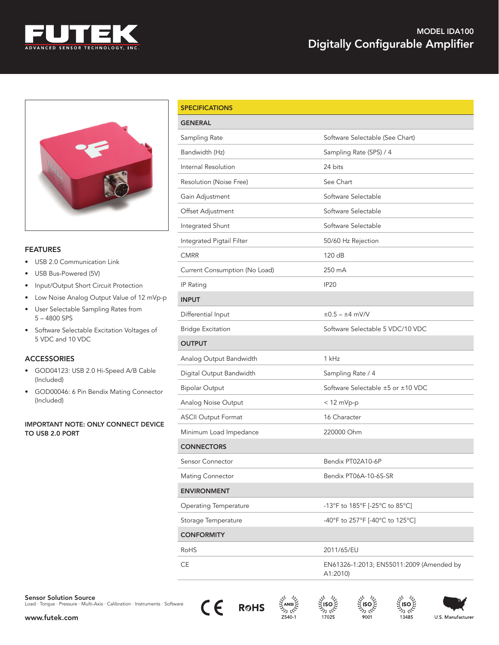



### **FEATURES**

- USB 2.0 Communication Link
- USB Bus-Powered (5V)
- Input/Output Short Circuit Protection
- Low Noise Analog Output Value of 12 mVp-p
- User Selectable Sampling Rates from 5 – 4800 SPS
- Software Selectable Excitation Voltages of 5 VDC and 10 VDC

## ACCESSORIES

- GOD04123: USB 2.0 Hi-Speed A/B Cable (Included)
- GOD00046: 6 Pin Bendix Mating Connector (Included)

#### IMPORTANT NOTE: ONLY CONNECT DEVICE TO USB 2.0 PORT

| <b>SPECIFICATIONS</b>         |                                                      |  |
|-------------------------------|------------------------------------------------------|--|
| <b>GENERAL</b>                |                                                      |  |
| Sampling Rate                 | Software Selectable (See Chart)                      |  |
| Bandwidth (Hz)                | Sampling Rate (SPS) / 4                              |  |
| Internal Resolution           | 24 bits                                              |  |
| Resolution (Noise Free)       | See Chart                                            |  |
| Gain Adjustment               | Software Selectable                                  |  |
| Offset Adjustment             | Software Selectable                                  |  |
| Integrated Shunt              | Software Selectable                                  |  |
| Integrated Pigtail Filter     | 50/60 Hz Rejection                                   |  |
| <b>CMRR</b>                   | 120 dB                                               |  |
| Current Consumption (No Load) | 250 mA                                               |  |
| IP Rating                     | <b>IP20</b>                                          |  |
| <b>INPUT</b>                  |                                                      |  |
| Differential Input            | $±0.5 - ±4$ mV/V                                     |  |
| <b>Bridge Excitation</b>      | Software Selectable 5 VDC/10 VDC                     |  |
| <b>OUTPUT</b>                 |                                                      |  |
| Analog Output Bandwidth       | 1 kHz                                                |  |
| Digital Output Bandwidth      | Sampling Rate / 4                                    |  |
| <b>Bipolar Output</b>         | Software Selectable ±5 or ±10 VDC                    |  |
| Analog Noise Output           | $<$ 12 mVp-p                                         |  |
| <b>ASCII Output Format</b>    | 16 Character                                         |  |
| Minimum Load Impedance        | 220000 Ohm                                           |  |
| <b>CONNECTORS</b>             |                                                      |  |
| Sensor Connector              | Bendix PT02A10-6P                                    |  |
| <b>Mating Connector</b>       | Bendix PT06A-10-6S-SR                                |  |
| <b>ENVIRONMENT</b>            |                                                      |  |
| <b>Operating Temperature</b>  | -13°F to 185°F [-25°C to 85°C]                       |  |
| Storage Temperature           | -40°F to 257°F [-40°C to 125°C]                      |  |
| <b>CONFORMITY</b>             |                                                      |  |
| RoHS                          | 2011/65/EU                                           |  |
| CE                            | EN61326-1:2013; EN55011:2009 (Amended by<br>A1:2010) |  |





نایم رك







ایم ردا